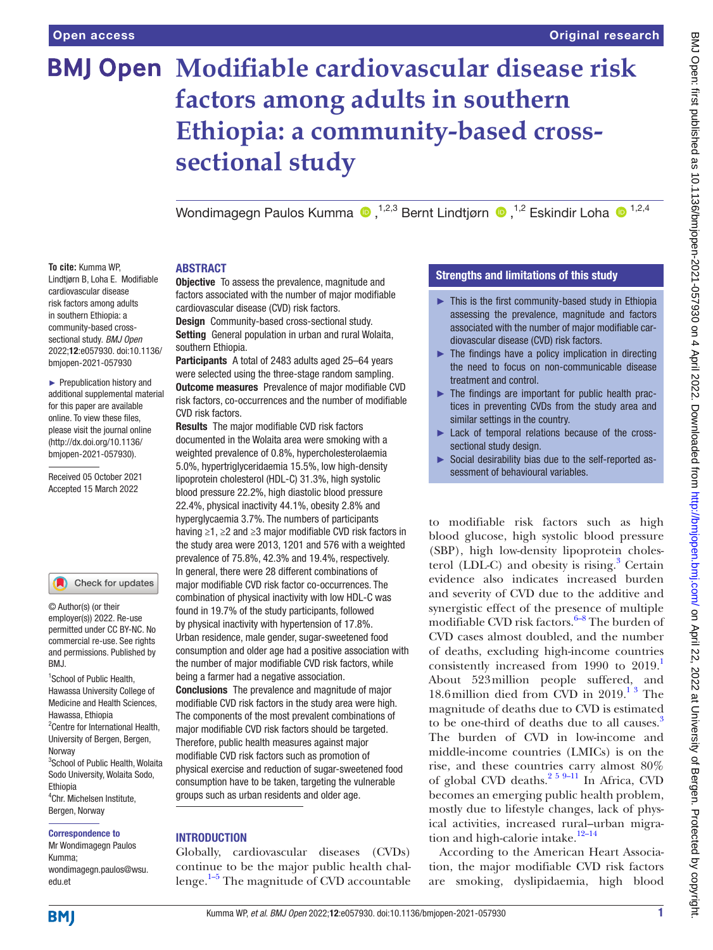# **BMJ Open Modifiable cardiovascular disease risk factors among adults in southern Ethiopia: a community-based crosssectional study**

WondimagegnPaulos Kumma  $\bullet$ , <sup>1,2,3</sup> Bernt Lindtiørn  $\bullet$ , <sup>1,2</sup> Eskindir Loha  $\bullet$ <sup>1,2,4</sup>

#### **To cite:** Kumma WP, Lindtjørn B, Loha E. Modifiable cardiovascular disease risk factors among adults in southern Ethiopia: a community-based crosssectional study. *BMJ Open* 2022;12:e057930. doi:10.1136/ bmjopen-2021-057930

► Prepublication history and additional supplemental material for this paper are available online. To view these files, please visit the journal online [\(http://dx.doi.org/10.1136/](http://dx.doi.org/10.1136/bmjopen-2021-057930) [bmjopen-2021-057930](http://dx.doi.org/10.1136/bmjopen-2021-057930)).

Received 05 October 2021 Accepted 15 March 2022

#### Check for updates

© Author(s) (or their employer(s)) 2022. Re-use permitted under CC BY-NC. No commercial re-use. See rights and permissions. Published by BMJ.

<sup>1</sup>School of Public Health, Hawassa University College of Medicine and Health Sciences, Hawassa, Ethiopia <sup>2</sup> Centre for International Health, University of Bergen, Bergen, **Norway** 3 School of Public Health, Wolaita Sodo University, Wolaita Sodo, Ethiopia 4 Chr. Michelsen Institute, Bergen, Norway

#### Correspondence to

Mr Wondimagegn Paulos Kumma; wondimagegn.paulos@wsu. edu.et

### ABSTRACT

**Objective** To assess the prevalence, magnitude and factors associated with the number of major modifiable cardiovascular disease (CVD) risk factors.

Design Community-based cross-sectional study. Setting General population in urban and rural Wolaita, southern Ethiopia.

Participants A total of 2483 adults aged 25–64 years were selected using the three-stage random sampling. Outcome measures Prevalence of major modifiable CVD risk factors, co-occurrences and the number of modifiable CVD risk factors.

Results The major modifiable CVD risk factors documented in the Wolaita area were smoking with a weighted prevalence of 0.8%, hypercholesterolaemia 5.0%, hypertriglyceridaemia 15.5%, low high-density lipoprotein cholesterol (HDL-C) 31.3%, high systolic blood pressure 22.2%, high diastolic blood pressure 22.4%, physical inactivity 44.1%, obesity 2.8% and hyperglycaemia 3.7%. The numbers of participants having ≥1, ≥2 and ≥3 major modifiable CVD risk factors in the study area were 2013, 1201 and 576 with a weighted prevalence of 75.8%, 42.3% and 19.4%, respectively. In general, there were 28 different combinations of major modifiable CVD risk factor co-occurrences. The combination of physical inactivity with low HDL-C was found in 19.7% of the study participants, followed by physical inactivity with hypertension of 17.8%. Urban residence, male gender, sugar-sweetened food consumption and older age had a positive association with the number of major modifiable CVD risk factors, while being a farmer had a negative association. Conclusions The prevalence and magnitude of major modifiable CVD risk factors in the study area were high. The components of the most prevalent combinations of major modifiable CVD risk factors should be targeted. Therefore, public health measures against major modifiable CVD risk factors such as promotion of physical exercise and reduction of sugar-sweetened food consumption have to be taken, targeting the vulnerable groups such as urban residents and older age.

#### **INTRODUCTION**

Globally, cardiovascular diseases (CVDs) continue to be the major public health challenge.<sup>1–5</sup> The magnitude of CVD accountable

# Strengths and limitations of this study

- ► This is the first community-based study in Ethiopia assessing the prevalence, magnitude and factors associated with the number of major modifiable cardiovascular disease (CVD) risk factors.
- $\blacktriangleright$  The findings have a policy implication in directing the need to focus on non-communicable disease treatment and control.
- ► The findings are important for public health practices in preventing CVDs from the study area and similar settings in the country.
- ► Lack of temporal relations because of the crosssectional study design.
- ► Social desirability bias due to the self-reported assessment of behavioural variables.

to modifiable risk factors such as high blood glucose, high systolic blood pressure (SBP), high low-density lipoprotein choles-terol (LDL-C) and obesity is rising.<sup>[3](#page-8-1)</sup> Certain evidence also indicates increased burden and severity of CVD due to the additive and synergistic effect of the presence of multiple modifiable CVD risk factors. $6-8$  The burden of CVD cases almost doubled, and the number of deaths, excluding high-income countries consistently increased from 1990 to 2019.<sup>1</sup> About 523million people suffered, and 18.6 million died from CVD in  $2019.<sup>13</sup>$  The magnitude of deaths due to CVD is estimated to be one-third of deaths due to all causes.<sup>[3](#page-8-1)</sup> The burden of CVD in low-income and middle-income countries (LMICs) is on the rise, and these countries carry almost 80% of global CVD deaths.<sup>2 5 9–11</sup> In Africa, CVD becomes an emerging public health problem, mostly due to lifestyle changes, lack of physical activities, increased rural–urban migration and high-calorie intake.<sup>12-14</sup>

According to the American Heart Association, the major modifiable CVD risk factors are smoking, dyslipidaemia, high blood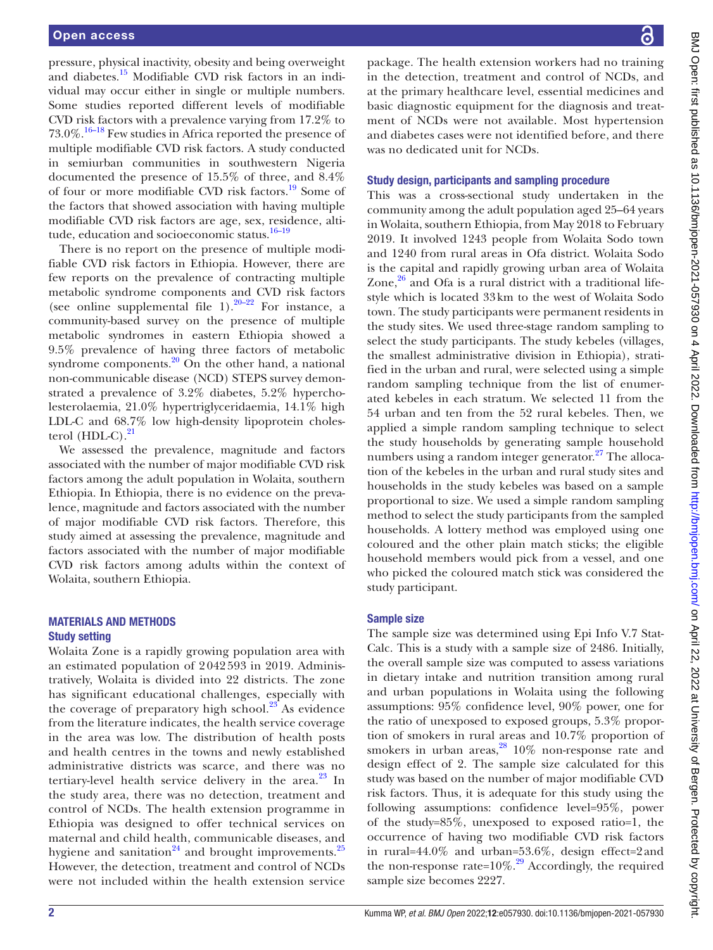pressure, physical inactivity, obesity and being overweight and diabetes.<sup>15</sup> Modifiable CVD risk factors in an individual may occur either in single or multiple numbers. Some studies reported different levels of modifiable CVD risk factors with a prevalence varying from 17.2% to 73.0%.[16–18](#page-8-6) Few studies in Africa reported the presence of multiple modifiable CVD risk factors. A study conducted in semiurban communities in southwestern Nigeria documented the presence of 15.5% of three, and 8.4% of four or more modifiable CVD risk factors.<sup>19</sup> Some of the factors that showed association with having multiple modifiable CVD risk factors are age, sex, residence, altitude, education and socioeconomic status.<sup>16-19</sup>

There is no report on the presence of multiple modifiable CVD risk factors in Ethiopia. However, there are few reports on the prevalence of contracting multiple metabolic syndrome components and CVD risk factors (see [online supplemental file 1](https://dx.doi.org/10.1136/bmjopen-2021-057930)). $20-22$  For instance, a community-based survey on the presence of multiple metabolic syndromes in eastern Ethiopia showed a 9.5% prevalence of having three factors of metabolic syndrome components. $20$  On the other hand, a national non-communicable disease (NCD) STEPS survey demonstrated a prevalence of 3.2% diabetes, 5.2% hypercholesterolaemia, 21.0% hypertriglyceridaemia, 14.1% high LDL-C and 68.7% low high-density lipoprotein cholesterol  $(HDL-C)$ .<sup>[21](#page-8-9)</sup>

We assessed the prevalence, magnitude and factors associated with the number of major modifiable CVD risk factors among the adult population in Wolaita, southern Ethiopia. In Ethiopia, there is no evidence on the prevalence, magnitude and factors associated with the number of major modifiable CVD risk factors. Therefore, this study aimed at assessing the prevalence, magnitude and factors associated with the number of major modifiable CVD risk factors among adults within the context of Wolaita, southern Ethiopia.

## MATERIALS AND METHODS Study setting

Wolaita Zone is a rapidly growing population area with an estimated population of 2 042 593 in 2019. Administratively, Wolaita is divided into 22 districts. The zone has significant educational challenges, especially with the coverage of preparatory high school. $23$ <sup>5</sup> As evidence from the literature indicates, the health service coverage in the area was low. The distribution of health posts and health centres in the towns and newly established administrative districts was scarce, and there was no tertiary-level health service delivery in the area. $^{23}$  $^{23}$  $^{23}$  In the study area, there was no detection, treatment and control of NCDs. The health extension programme in Ethiopia was designed to offer technical services on maternal and child health, communicable diseases, and hygiene and sanitation<sup>24</sup> and brought improvements.<sup>25</sup> However, the detection, treatment and control of NCDs were not included within the health extension service

package. The health extension workers had no training in the detection, treatment and control of NCDs, and at the primary healthcare level, essential medicines and basic diagnostic equipment for the diagnosis and treatment of NCDs were not available. Most hypertension and diabetes cases were not identified before, and there was no dedicated unit for NCDs.

## Study design, participants and sampling procedure

This was a cross-sectional study undertaken in the community among the adult population aged 25–64 years in Wolaita, southern Ethiopia, from May 2018 to February 2019. It involved 1243 people from Wolaita Sodo town and 1240 from rural areas in Ofa district. Wolaita Sodo is the capital and rapidly growing urban area of Wolaita Zone, $26$  and Ofa is a rural district with a traditional lifestyle which is located 33km to the west of Wolaita Sodo town. The study participants were permanent residents in the study sites. We used three-stage random sampling to select the study participants. The study kebeles (villages, the smallest administrative division in Ethiopia), stratified in the urban and rural, were selected using a simple random sampling technique from the list of enumerated kebeles in each stratum. We selected 11 from the 54 urban and ten from the 52 rural kebeles. Then, we applied a simple random sampling technique to select the study households by generating sample household numbers using a random integer generator.<sup>27</sup> The allocation of the kebeles in the urban and rural study sites and households in the study kebeles was based on a sample proportional to size. We used a simple random sampling method to select the study participants from the sampled households. A lottery method was employed using one coloured and the other plain match sticks; the eligible household members would pick from a vessel, and one who picked the coloured match stick was considered the study participant.

## Sample size

The sample size was determined using Epi Info V.7 Stat-Calc. This is a study with a sample size of 2486. Initially, the overall sample size was computed to assess variations in dietary intake and nutrition transition among rural and urban populations in Wolaita using the following assumptions: 95% confidence level, 90% power, one for the ratio of unexposed to exposed groups, 5.3% proportion of smokers in rural areas and 10.7% proportion of smokers in urban areas,  $28/10\%$  non-response rate and design effect of 2. The sample size calculated for this study was based on the number of major modifiable CVD risk factors. Thus, it is adequate for this study using the following assumptions: confidence level=95%, power of the study=85%, unexposed to exposed ratio=1, the occurrence of having two modifiable CVD risk factors in rural=44.0% and urban=53.6%, design effect=2and the non-response rate= $10\%$ .<sup>29</sup> Accordingly, the required sample size becomes 2227.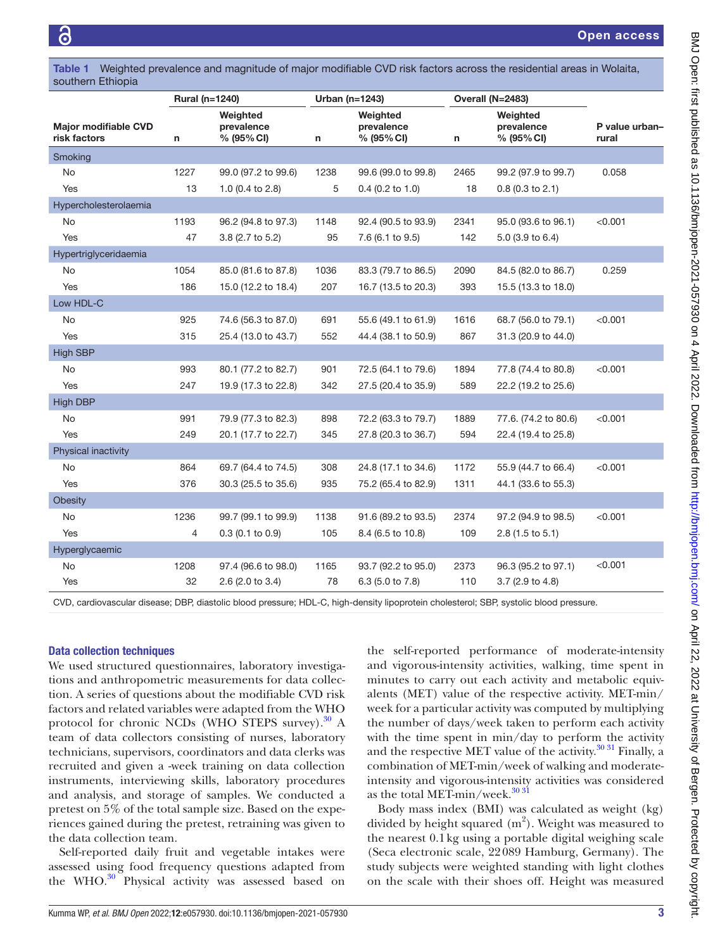<span id="page-2-0"></span>

|                   | Table 1 Weighted prevalence and magnitude of major modifiable CVD risk factors across the residential areas in Wolaita, |
|-------------------|-------------------------------------------------------------------------------------------------------------------------|
| southern Ethiopia |                                                                                                                         |

|                                             |      | Rural (n=1240)                       |      | Urban (n=1243)                       |      | Overall (N=2483)                     |                         |  |
|---------------------------------------------|------|--------------------------------------|------|--------------------------------------|------|--------------------------------------|-------------------------|--|
| <b>Major modifiable CVD</b><br>risk factors | n    | Weighted<br>prevalence<br>% (95% CI) | n    | Weighted<br>prevalence<br>% (95% CI) | n    | Weighted<br>prevalence<br>% (95% CI) | P value urban-<br>rural |  |
| Smoking                                     |      |                                      |      |                                      |      |                                      |                         |  |
| <b>No</b>                                   | 1227 | 99.0 (97.2 to 99.6)                  | 1238 | 99.6 (99.0 to 99.8)                  | 2465 | 99.2 (97.9 to 99.7)                  | 0.058                   |  |
| Yes                                         | 13   | 1.0 (0.4 to 2.8)                     | 5    | $0.4$ (0.2 to 1.0)                   | 18   | $0.8$ (0.3 to 2.1)                   |                         |  |
| Hypercholesterolaemia                       |      |                                      |      |                                      |      |                                      |                         |  |
| No                                          | 1193 | 96.2 (94.8 to 97.3)                  | 1148 | 92.4 (90.5 to 93.9)                  | 2341 | 95.0 (93.6 to 96.1)                  | < 0.001                 |  |
| Yes                                         | 47   | 3.8 (2.7 to 5.2)                     | 95   | 7.6 (6.1 to 9.5)                     | 142  | 5.0 (3.9 to 6.4)                     |                         |  |
| Hypertriglyceridaemia                       |      |                                      |      |                                      |      |                                      |                         |  |
| No.                                         | 1054 | 85.0 (81.6 to 87.8)                  | 1036 | 83.3 (79.7 to 86.5)                  | 2090 | 84.5 (82.0 to 86.7)                  | 0.259                   |  |
| Yes                                         | 186  | 15.0 (12.2 to 18.4)                  | 207  | 16.7 (13.5 to 20.3)                  | 393  | 15.5 (13.3 to 18.0)                  |                         |  |
| Low HDL-C                                   |      |                                      |      |                                      |      |                                      |                         |  |
| No                                          | 925  | 74.6 (56.3 to 87.0)                  | 691  | 55.6 (49.1 to 61.9)                  | 1616 | 68.7 (56.0 to 79.1)                  | < 0.001                 |  |
| Yes                                         | 315  | 25.4 (13.0 to 43.7)                  | 552  | 44.4 (38.1 to 50.9)                  | 867  | 31.3 (20.9 to 44.0)                  |                         |  |
| <b>High SBP</b>                             |      |                                      |      |                                      |      |                                      |                         |  |
| No                                          | 993  | 80.1 (77.2 to 82.7)                  | 901  | 72.5 (64.1 to 79.6)                  | 1894 | 77.8 (74.4 to 80.8)                  | < 0.001                 |  |
| Yes                                         | 247  | 19.9 (17.3 to 22.8)                  | 342  | 27.5 (20.4 to 35.9)                  | 589  | 22.2 (19.2 to 25.6)                  |                         |  |
| <b>High DBP</b>                             |      |                                      |      |                                      |      |                                      |                         |  |
| <b>No</b>                                   | 991  | 79.9 (77.3 to 82.3)                  | 898  | 72.2 (63.3 to 79.7)                  | 1889 | 77.6. (74.2 to 80.6)                 | < 0.001                 |  |
| Yes                                         | 249  | 20.1 (17.7 to 22.7)                  | 345  | 27.8 (20.3 to 36.7)                  | 594  | 22.4 (19.4 to 25.8)                  |                         |  |
| Physical inactivity                         |      |                                      |      |                                      |      |                                      |                         |  |
| No                                          | 864  | 69.7 (64.4 to 74.5)                  | 308  | 24.8 (17.1 to 34.6)                  | 1172 | 55.9 (44.7 to 66.4)                  | < 0.001                 |  |
| Yes                                         | 376  | 30.3 (25.5 to 35.6)                  | 935  | 75.2 (65.4 to 82.9)                  | 1311 | 44.1 (33.6 to 55.3)                  |                         |  |
| <b>Obesity</b>                              |      |                                      |      |                                      |      |                                      |                         |  |
| No                                          | 1236 | 99.7 (99.1 to 99.9)                  | 1138 | 91.6 (89.2 to 93.5)                  | 2374 | 97.2 (94.9 to 98.5)                  | < 0.001                 |  |
| Yes                                         | 4    | $0.3$ (0.1 to 0.9)                   | 105  | 8.4 (6.5 to 10.8)                    | 109  | $2.8$ (1.5 to 5.1)                   |                         |  |
| Hyperglycaemic                              |      |                                      |      |                                      |      |                                      |                         |  |
| No                                          | 1208 | 97.4 (96.6 to 98.0)                  | 1165 | 93.7 (92.2 to 95.0)                  | 2373 | 96.3 (95.2 to 97.1)                  | < 0.001                 |  |
| Yes                                         | 32   | 2.6 (2.0 to 3.4)                     | 78   | 6.3 (5.0 to 7.8)                     | 110  | 3.7 (2.9 to 4.8)                     |                         |  |

CVD, cardiovascular disease; DBP, diastolic blood pressure; HDL-C, high-density lipoprotein cholesterol; SBP, systolic blood pressure.

#### Data collection techniques

We used structured questionnaires, laboratory investigations and anthropometric measurements for data collection. A series of questions about the modifiable CVD risk factors and related variables were adapted from the WHO protocol for chronic NCDs (WHO STEPS survey). $30$  A team of data collectors consisting of nurses, laboratory technicians, supervisors, coordinators and data clerks was recruited and given a -week training on data collection instruments, interviewing skills, laboratory procedures and analysis, and storage of samples. We conducted a pretest on 5% of the total sample size. Based on the experiences gained during the pretest, retraining was given to the data collection team.

Self-reported daily fruit and vegetable intakes were assessed using food frequency questions adapted from the WHO.<sup>[30](#page-9-5)</sup> Physical activity was assessed based on

the self-reported performance of moderate-intensity and vigorous-intensity activities, walking, time spent in minutes to carry out each activity and metabolic equivalents (MET) value of the respective activity. MET-min/ week for a particular activity was computed by multiplying the number of days/week taken to perform each activity with the time spent in min/day to perform the activity and the respective MET value of the activity. $30\,31$  Finally, a combination of MET-min/week of walking and moderateintensity and vigorous-intensity activities was considered as the total MET-min/week.<sup>30 31</sup>

Body mass index (BMI) was calculated as weight (kg) divided by height squared  $(m^2)$ . Weight was measured to the nearest 0.1kg using a portable digital weighing scale (Seca electronic scale, 22089 Hamburg, Germany). The study subjects were weighted standing with light clothes on the scale with their shoes off. Height was measured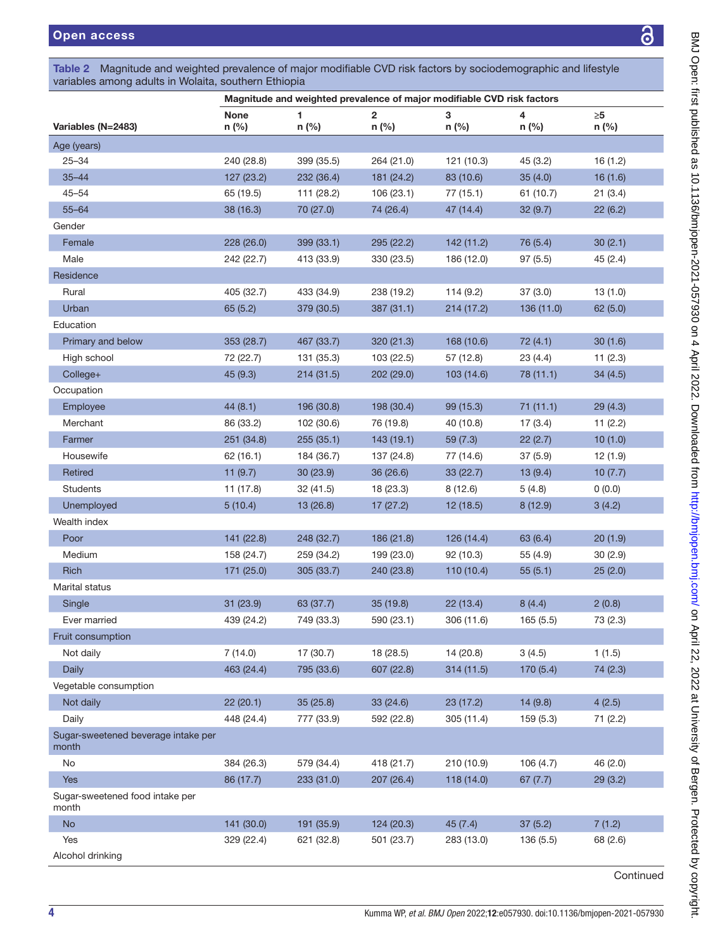|  | Table 2 Magnitude and weighted prevalence of major modifiable CVD risk factors by sociodemographic and lifestyle |  |  |  |  |  |  |  |  |  |  |
|--|------------------------------------------------------------------------------------------------------------------|--|--|--|--|--|--|--|--|--|--|
|  | variables among adults in Wolaita, southern Ethiopia                                                             |  |  |  |  |  |  |  |  |  |  |
|  |                                                                                                                  |  |  |  |  |  |  |  |  |  |  |

<span id="page-3-0"></span>

|                                              |                      |             | Magnitude and weighted prevalence of major modifiable CVD risk factors |            |            |                   |
|----------------------------------------------|----------------------|-------------|------------------------------------------------------------------------|------------|------------|-------------------|
| Variables (N=2483)                           | <b>None</b><br>n (%) | 1.<br>n (%) | $\overline{2}$<br>n (%)                                                | 3<br>n (%) | 4<br>n (%) | $\geq 5$<br>n (%) |
| Age (years)                                  |                      |             |                                                                        |            |            |                   |
| $25 - 34$                                    | 240 (28.8)           | 399 (35.5)  | 264 (21.0)                                                             | 121 (10.3) | 45 (3.2)   | 16(1.2)           |
| $35 - 44$                                    | 127 (23.2)           | 232 (36.4)  | 181 (24.2)                                                             | 83 (10.6)  | 35(4.0)    | 16(1.6)           |
| $45 - 54$                                    | 65 (19.5)            | 111 (28.2)  | 106(23.1)                                                              | 77 (15.1)  | 61 (10.7)  | 21(3.4)           |
| $55 - 64$                                    | 38 (16.3)            | 70 (27.0)   | 74 (26.4)                                                              | 47 (14.4)  | 32(9.7)    | 22(6.2)           |
| Gender                                       |                      |             |                                                                        |            |            |                   |
| Female                                       | 228 (26.0)           | 399 (33.1)  | 295 (22.2)                                                             | 142 (11.2) | 76 (5.4)   | 30(2.1)           |
| Male                                         | 242 (22.7)           | 413 (33.9)  | 330 (23.5)                                                             | 186 (12.0) | 97(5.5)    | 45(2.4)           |
| Residence                                    |                      |             |                                                                        |            |            |                   |
| Rural                                        | 405 (32.7)           | 433 (34.9)  | 238 (19.2)                                                             | 114(9.2)   | 37(3.0)    | 13(1.0)           |
| Urban                                        | 65(5.2)              | 379 (30.5)  | 387 (31.1)                                                             | 214(17.2)  | 136(11.0)  | 62(5.0)           |
| Education                                    |                      |             |                                                                        |            |            |                   |
| Primary and below                            | 353 (28.7)           | 467 (33.7)  | 320 (21.3)                                                             | 168 (10.6) | 72(4.1)    | 30(1.6)           |
| High school                                  | 72 (22.7)            | 131 (35.3)  | 103 (22.5)                                                             | 57 (12.8)  | 23(4.4)    | 11(2.3)           |
| College+                                     | 45(9.3)              | 214(31.5)   | 202 (29.0)                                                             | 103 (14.6) | 78 (11.1)  | 34(4.5)           |
| Occupation                                   |                      |             |                                                                        |            |            |                   |
| Employee                                     | 44(8.1)              | 196 (30.8)  | 198 (30.4)                                                             | 99 (15.3)  | 71(11.1)   | 29(4.3)           |
| Merchant                                     | 86 (33.2)            | 102 (30.6)  | 76 (19.8)                                                              | 40 (10.8)  | 17(3.4)    | 11(2.2)           |
| Farmer                                       | 251 (34.8)           | 255(35.1)   | 143(19.1)                                                              | 59(7.3)    | 22(2.7)    | 10(1.0)           |
| Housewife                                    | 62(16.1)             | 184 (36.7)  | 137 (24.8)                                                             | 77 (14.6)  | 37(5.9)    | 12 (1.9)          |
| Retired                                      | 11(9.7)              | 30(23.9)    | 36 (26.6)                                                              | 33(22.7)   | 13(9.4)    | 10(7.7)           |
| <b>Students</b>                              | 11 (17.8)            | 32(41.5)    | 18 (23.3)                                                              | 8(12.6)    | 5(4.8)     | 0(0.0)            |
| Unemployed                                   | 5(10.4)              | 13 (26.8)   | 17(27.2)                                                               | 12 (18.5)  | 8(12.9)    | 3(4.2)            |
| Wealth index                                 |                      |             |                                                                        |            |            |                   |
| Poor                                         | 141 (22.8)           | 248 (32.7)  | 186 (21.8)                                                             | 126 (14.4) | 63 (6.4)   | 20(1.9)           |
| Medium                                       | 158 (24.7)           | 259 (34.2)  | 199 (23.0)                                                             | 92 (10.3)  | 55 (4.9)   | 30(2.9)           |
| <b>Rich</b>                                  | 171 (25.0)           | 305 (33.7)  | 240 (23.8)                                                             | 110 (10.4) | 55(5.1)    | 25(2.0)           |
| Marital status                               |                      |             |                                                                        |            |            |                   |
| Single                                       | 31 (23.9)            | 63 (37.7)   | 35(19.8)                                                               | 22(13.4)   | 8(4.4)     | 2(0.8)            |
| Ever married                                 | 439 (24.2)           | 749 (33.3)  | 590 (23.1)                                                             | 306 (11.6) | 165(5.5)   | 73 (2.3)          |
| Fruit consumption                            |                      |             |                                                                        |            |            |                   |
| Not daily                                    | 7(14.0)              | 17 (30.7)   | 18 (28.5)                                                              | 14 (20.8)  | 3(4.5)     | 1(1.5)            |
| Daily                                        | 463 (24.4)           | 795 (33.6)  | 607 (22.8)                                                             | 314 (11.5) | 170 (5.4)  | 74 (2.3)          |
| Vegetable consumption                        |                      |             |                                                                        |            |            |                   |
| Not daily                                    | 22 (20.1)            | 35 (25.8)   | 33 (24.6)                                                              | 23 (17.2)  | 14(9.8)    | 4(2.5)            |
| Daily                                        | 448 (24.4)           | 777 (33.9)  | 592 (22.8)                                                             | 305 (11.4) | 159 (5.3)  | 71 (2.2)          |
| Sugar-sweetened beverage intake per<br>month |                      |             |                                                                        |            |            |                   |
| No                                           | 384 (26.3)           | 579 (34.4)  | 418 (21.7)                                                             | 210 (10.9) | 106 (4.7)  | 46 (2.0)          |
| Yes                                          | 86 (17.7)            | 233 (31.0)  | 207 (26.4)                                                             | 118 (14.0) | 67(7.7)    | 29(3.2)           |
| Sugar-sweetened food intake per<br>month     |                      |             |                                                                        |            |            |                   |
| No                                           | 141 (30.0)           | 191 (35.9)  | 124 (20.3)                                                             | 45(7.4)    | 37(5.2)    | 7(1.2)            |
| Yes                                          | 329 (22.4)           | 621 (32.8)  | 501 (23.7)                                                             | 283 (13.0) | 136(5.5)   | 68 (2.6)          |
| Alcohol drinking                             |                      |             |                                                                        |            |            |                   |

<u>යි</u>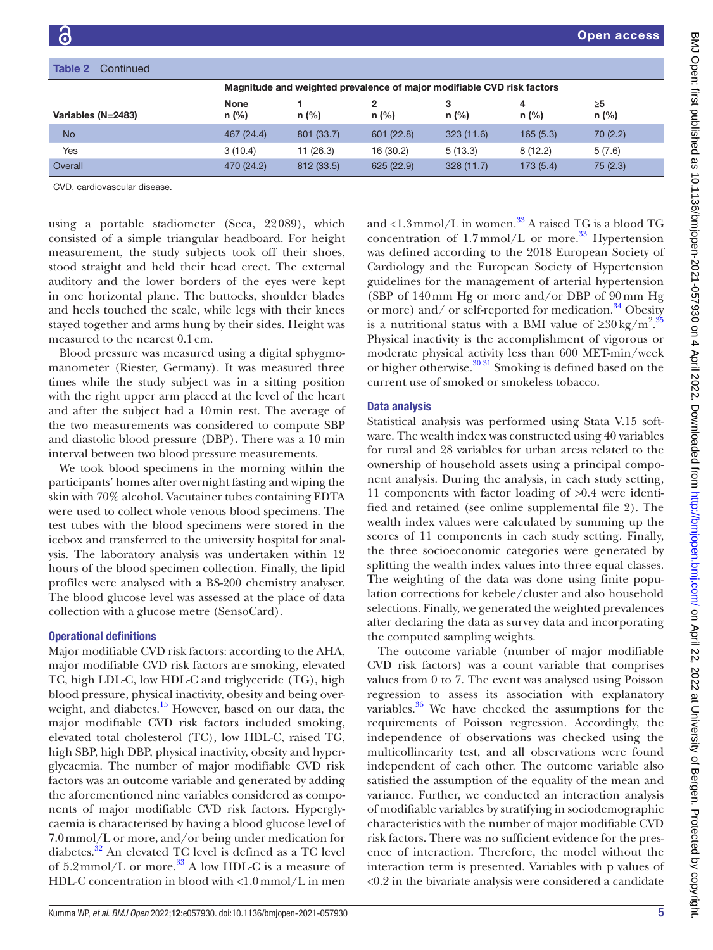| Table 2<br>Continued |                        |                                                                        |            |              |              |               |
|----------------------|------------------------|------------------------------------------------------------------------|------------|--------------|--------------|---------------|
|                      |                        | Magnitude and weighted prevalence of major modifiable CVD risk factors |            |              |              |               |
| Variables (N=2483)   | <b>None</b><br>$n$ (%) | $n$ (%)                                                                | $n$ (%)    | 3<br>$n$ (%) | 4<br>$n$ (%) | ≥5<br>$n$ (%) |
| <b>No</b>            | 467 (24.4)             | 801 (33.7)                                                             | 601 (22.8) | 323(11.6)    | 165(5.3)     | 70(2.2)       |
| Yes                  | 3(10.4)                | 11(26.3)                                                               | 16 (30.2)  | 5(13.3)      | 8(12.2)      | 5(7.6)        |
| Overall              | 470 (24.2)             | 812 (33.5)                                                             | 625 (22.9) | 328(11.7)    | 173(5.4)     | 75(2.3)       |

CVD, cardiovascular disease.

using a portable stadiometer (Seca, 22089), which consisted of a simple triangular headboard. For height measurement, the study subjects took off their shoes, stood straight and held their head erect. The external auditory and the lower borders of the eyes were kept in one horizontal plane. The buttocks, shoulder blades and heels touched the scale, while legs with their knees stayed together and arms hung by their sides. Height was measured to the nearest 0.1cm.

Blood pressure was measured using a digital sphygmomanometer (Riester, Germany). It was measured three times while the study subject was in a sitting position with the right upper arm placed at the level of the heart and after the subject had a 10min rest. The average of the two measurements was considered to compute SBP and diastolic blood pressure (DBP). There was a 10 min interval between two blood pressure measurements.

We took blood specimens in the morning within the participants' homes after overnight fasting and wiping the skin with 70% alcohol. Vacutainer tubes containing EDTA were used to collect whole venous blood specimens. The test tubes with the blood specimens were stored in the icebox and transferred to the university hospital for analysis. The laboratory analysis was undertaken within 12 hours of the blood specimen collection. Finally, the lipid profiles were analysed with a BS-200 chemistry analyser. The blood glucose level was assessed at the place of data collection with a glucose metre (SensoCard).

### Operational definitions

Major modifiable CVD risk factors: according to the AHA, major modifiable CVD risk factors are smoking, elevated TC, high LDL-C, low HDL-C and triglyceride (TG), high blood pressure, physical inactivity, obesity and being over-weight, and diabetes.<sup>[15](#page-8-5)</sup> However, based on our data, the major modifiable CVD risk factors included smoking, elevated total cholesterol (TC), low HDL-C, raised TG, high SBP, high DBP, physical inactivity, obesity and hyperglycaemia. The number of major modifiable CVD risk factors was an outcome variable and generated by adding the aforementioned nine variables considered as components of major modifiable CVD risk factors. Hyperglycaemia is characterised by having a blood glucose level of 7.0mmol/L or more, and/or being under medication for diabetes.<sup>32</sup> An elevated TC level is defined as a TC level of  $5.2 \text{mmol/L}$  or more.<sup>[33](#page-9-7)</sup> A low HDL-C is a measure of HDL-C concentration in blood with <1.0mmol/L in men

and  $\langle 1.3 \text{mmol/L}$  in women.<sup>33</sup> A raised TG is a blood TG concentration of  $1.7$ mmol/L or more.<sup>33</sup> Hypertension was defined according to the 2018 European Society of Cardiology and the European Society of Hypertension guidelines for the management of arterial hypertension (SBP of 140mm Hg or more and/or DBP of 90mm Hg or more) and/ or self-reported for medication.<sup>[34](#page-9-8)</sup> Obesity is a nutritional status with a BMI value of  $\geq 30 \text{ kg/m}^2$ . Physical inactivity is the accomplishment of vigorous or moderate physical activity less than 600 MET-min/week or higher otherwise.[30 31](#page-9-5) Smoking is defined based on the current use of smoked or smokeless tobacco.

## Data analysis

Statistical analysis was performed using Stata V.15 software. The wealth index was constructed using 40 variables for rural and 28 variables for urban areas related to the ownership of household assets using a principal component analysis. During the analysis, in each study setting, 11 components with factor loading of >0.4 were identified and retained (see [online supplemental file 2\)](https://dx.doi.org/10.1136/bmjopen-2021-057930). The wealth index values were calculated by summing up the scores of 11 components in each study setting. Finally, the three socioeconomic categories were generated by splitting the wealth index values into three equal classes. The weighting of the data was done using finite population corrections for kebele/cluster and also household selections. Finally, we generated the weighted prevalences after declaring the data as survey data and incorporating the computed sampling weights.

The outcome variable (number of major modifiable CVD risk factors) was a count variable that comprises values from 0 to 7. The event was analysed using Poisson regression to assess its association with explanatory variables. $36$  We have checked the assumptions for the requirements of Poisson regression. Accordingly, the independence of observations was checked using the multicollinearity test, and all observations were found independent of each other. The outcome variable also satisfied the assumption of the equality of the mean and variance. Further, we conducted an interaction analysis of modifiable variables by stratifying in sociodemographic characteristics with the number of major modifiable CVD risk factors. There was no sufficient evidence for the presence of interaction. Therefore, the model without the interaction term is presented. Variables with p values of <0.2 in the bivariate analysis were considered a candidate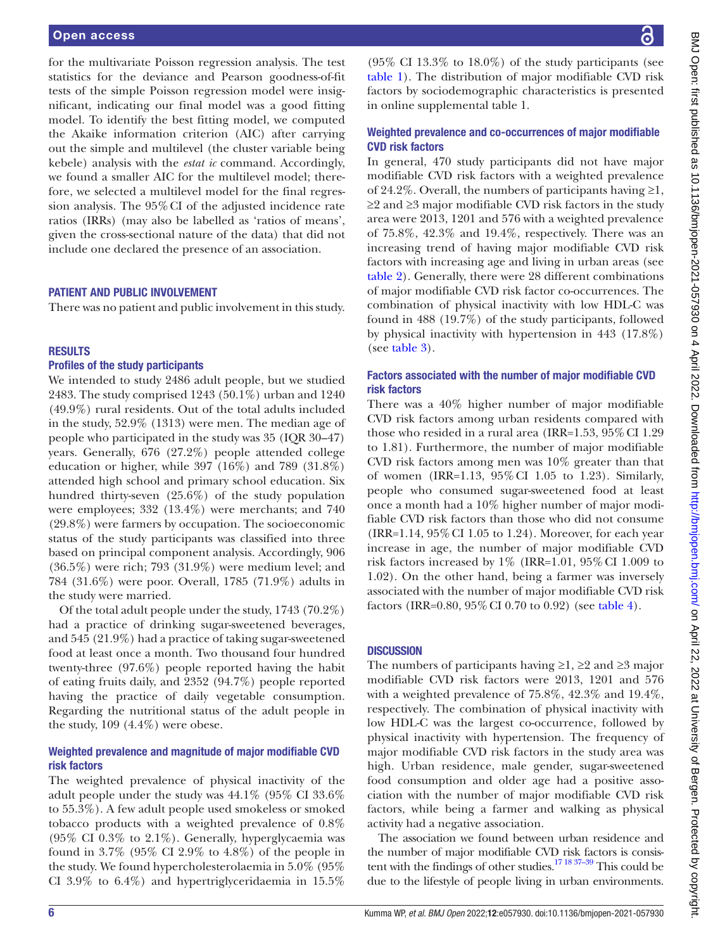#### Open access

for the multivariate Poisson regression analysis. The test statistics for the deviance and Pearson goodness-of-fit tests of the simple Poisson regression model were insignificant, indicating our final model was a good fitting model. To identify the best fitting model, we computed the Akaike information criterion (AIC) after carrying out the simple and multilevel (the cluster variable being kebele) analysis with the *estat ic* command. Accordingly, we found a smaller AIC for the multilevel model; therefore, we selected a multilevel model for the final regression analysis. The 95%CI of the adjusted incidence rate ratios (IRRs) (may also be labelled as 'ratios of means', given the cross-sectional nature of the data) that did not include one declared the presence of an association.

## PATIENT AND PUBLIC INVOLVEMENT

There was no patient and public involvement in this study.

#### **RESULTS**

#### Profiles of the study participants

We intended to study 2486 adult people, but we studied 2483. The study comprised 1243 (50.1%) urban and 1240 (49.9%) rural residents. Out of the total adults included in the study, 52.9% (1313) were men. The median age of people who participated in the study was 35 (IQR 30–47) years. Generally, 676 (27.2%) people attended college education or higher, while 397 (16%) and 789 (31.8%) attended high school and primary school education. Six hundred thirty-seven (25.6%) of the study population were employees; 332 (13.4%) were merchants; and 740 (29.8%) were farmers by occupation. The socioeconomic status of the study participants was classified into three based on principal component analysis. Accordingly, 906 (36.5%) were rich; 793 (31.9%) were medium level; and 784 (31.6%) were poor. Overall, 1785 (71.9%) adults in the study were married.

Of the total adult people under the study, 1743 (70.2%) had a practice of drinking sugar-sweetened beverages, and 545 (21.9%) had a practice of taking sugar-sweetened food at least once a month. Two thousand four hundred twenty-three (97.6%) people reported having the habit of eating fruits daily, and 2352 (94.7%) people reported having the practice of daily vegetable consumption. Regarding the nutritional status of the adult people in the study, 109 (4.4%) were obese.

## Weighted prevalence and magnitude of major modifiable CVD risk factors

The weighted prevalence of physical inactivity of the adult people under the study was 44.1% (95% CI 33.6% to 55.3%). A few adult people used smokeless or smoked tobacco products with a weighted prevalence of 0.8% (95% CI 0.3% to 2.1%). Generally, hyperglycaemia was found in 3.7% (95% CI 2.9% to 4.8%) of the people in the study. We found hypercholesterolaemia in 5.0% (95% CI 3.9% to 6.4%) and hypertriglyceridaemia in 15.5%

 $(95\% \text{ CI } 13.3\% \text{ to } 18.0\%)$  of the study participants (see [table](#page-2-0) 1). The distribution of major modifiable CVD risk factors by sociodemographic characteristics is presented in [online supplemental table 1](https://dx.doi.org/10.1136/bmjopen-2021-057930).

## Weighted prevalence and co-occurrences of major modifiable CVD risk factors

In general, 470 study participants did not have major modifiable CVD risk factors with a weighted prevalence of 24.2%. Overall, the numbers of participants having  $\geq 1$ , ≥2 and ≥3 major modifiable CVD risk factors in the study area were 2013, 1201 and 576 with a weighted prevalence of 75.8%, 42.3% and 19.4%, respectively. There was an increasing trend of having major modifiable CVD risk factors with increasing age and living in urban areas (see [table](#page-3-0) 2). Generally, there were 28 different combinations of major modifiable CVD risk factor co-occurrences. The combination of physical inactivity with low HDL-C was found in 488 (19.7%) of the study participants, followed by physical inactivity with hypertension in 443 (17.8%) (see [table](#page-6-0) 3).

## Factors associated with the number of major modifiable CVD risk factors

There was a 40% higher number of major modifiable CVD risk factors among urban residents compared with those who resided in a rural area (IRR= $1.53$ ,  $95\%$  CI 1.29 to 1.81). Furthermore, the number of major modifiable CVD risk factors among men was 10% greater than that of women (IRR=1.13, 95%CI 1.05 to 1.23). Similarly, people who consumed sugar-sweetened food at least once a month had a 10% higher number of major modifiable CVD risk factors than those who did not consume  $(IRR=1.14, 95\% CI 1.05 to 1.24)$ . Moreover, for each year increase in age, the number of major modifiable CVD risk factors increased by  $1\%$  (IRR=1.01,  $95\%$  CI 1.009 to 1.02). On the other hand, being a farmer was inversely associated with the number of major modifiable CVD risk factors (IRR=0.80, 95%CI 0.70 to 0.92) (see [table](#page-7-0) 4).

### **DISCUSSION**

The numbers of participants having  $\geq 1$ ,  $\geq 2$  and  $\geq 3$  major modifiable CVD risk factors were 2013, 1201 and 576 with a weighted prevalence of 75.8%, 42.3% and 19.4%, respectively. The combination of physical inactivity with low HDL-C was the largest co-occurrence, followed by physical inactivity with hypertension. The frequency of major modifiable CVD risk factors in the study area was high. Urban residence, male gender, sugar-sweetened food consumption and older age had a positive association with the number of major modifiable CVD risk factors, while being a farmer and walking as physical activity had a negative association.

The association we found between urban residence and the number of major modifiable CVD risk factors is consistent with the findings of other studies.<sup>17 18 37-39</sup> This could be due to the lifestyle of people living in urban environments.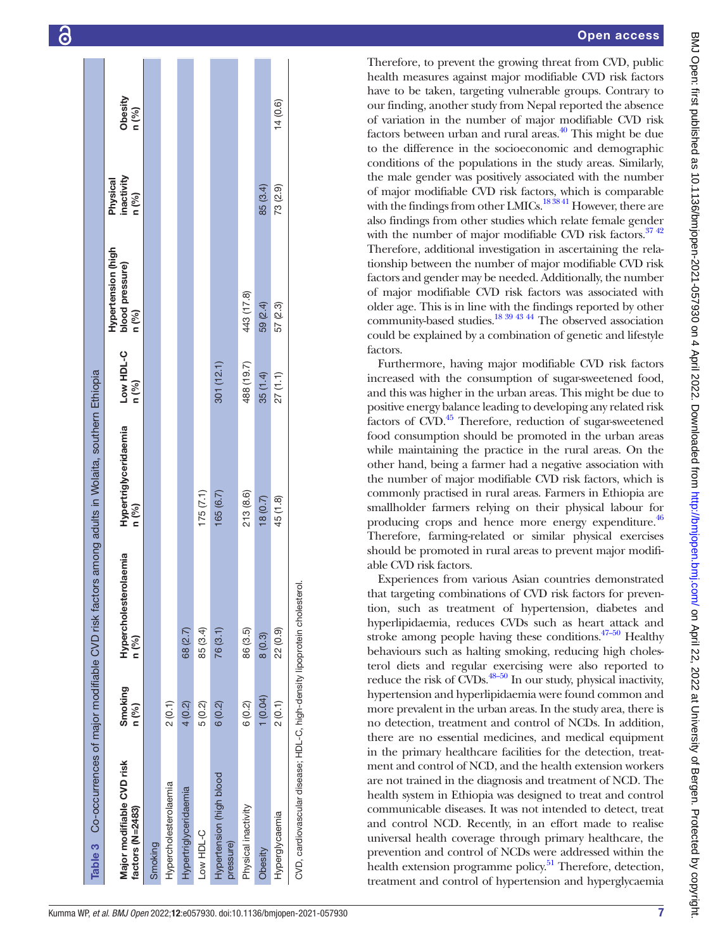| Major modifiable CVD risk<br>factors (N=2483) | Smoking<br>n (%) | Hypercholesterolaemia<br>n (%) | Hypertriglyceridaemia<br>n (%) | Low HDL-C<br>n (%) | Hypertension (high<br>blood pressure)<br>n (%) | inactivity<br>Physical<br>n (%) | Obesity<br>n (%) |
|-----------------------------------------------|------------------|--------------------------------|--------------------------------|--------------------|------------------------------------------------|---------------------------------|------------------|
| Smoking                                       |                  |                                |                                |                    |                                                |                                 |                  |
| Hypercholesterolaemia                         | 2(0.1)           |                                |                                |                    |                                                |                                 |                  |
| Hypertriglyceridaemia                         | 4(0.2)           | 68 (2.7)                       |                                |                    |                                                |                                 |                  |
| Low HDL-C                                     | 5(0.2)           | 85 (3.4)                       | 175(7.1)                       |                    |                                                |                                 |                  |
| Hypertension (high blood<br>pressure)         | 6(0.2)           | 76 (3.1)                       | 165(6.7)                       | 301(12.1)          |                                                |                                 |                  |
| Physical inactivity                           | 6(0.2)           | 86 (3.5)                       | 213 (8.6)                      | 488 (19.7)         | 443 (17.8)                                     |                                 |                  |
| Obesity                                       | 1(0.04)          | 8(0.3)                         | 18(0.7)                        | 35 (1.4)           | 59 (2.4)                                       | 85 (3.4)                        |                  |
| Hyperglycaemia                                | 2(0.1)           | 22 (0.9)                       | 45 (1.8)                       | 27(1.1)            | 57 (2.3)                                       | 73 (2.9)                        | 14(0.6)          |

# Open access

Therefore, to prevent the growing threat from CVD, public health measures against major modifiable CVD risk factors have to be taken, targeting vulnerable groups. Contrary to our finding, another study from Nepal reported the absence of variation in the number of major modifiable CVD risk factors between urban and rural areas.<sup>40</sup> This might be due to the difference in the socioeconomic and demographic conditions of the populations in the study areas. Similarly, the male gender was positively associated with the number of major modifiable CVD risk factors, which is comparable with the findings from other LMICs.<sup>18 38 41</sup> However, there are also findings from other studies which relate female gender with the number of major modifiable CVD risk factors.<sup>37 42</sup> Therefore, additional investigation in ascertaining the relationship between the number of major modifiable CVD risk factors and gender may be needed. Additionally, the number of major modifiable CVD risk factors was associated with older age. This is in line with the findings reported by other community-based studies[.18 39 43 44](#page-8-13) The observed association could be explained by a combination of genetic and lifestyle factors.

Furthermore, having major modifiable CVD risk factors increased with the consumption of sugar-sweetened food, and this was higher in the urban areas. This might be due to positive energy balance leading to developing any related risk factors of  $CVD$ .<sup>45</sup> Therefore, reduction of sugar-sweetened food consumption should be promoted in the urban areas while maintaining the practice in the rural areas. On the other hand, being a farmer had a negative association with the number of major modifiable CVD risk factors, which is commonly practised in rural areas. Farmers in Ethiopia are smallholder farmers relying on their physical labour for producing crops and hence more energy expenditure.<sup>46</sup> Therefore, farming-related or similar physical exercises should be promoted in rural areas to prevent major modifi able CVD risk factors.

<span id="page-6-0"></span>Experiences from various Asian countries demonstrated that targeting combinations of CVD risk factors for preven tion, such as treatment of hypertension, diabetes and hyperlipidaemia, reduces CVDs such as heart attack and stroke among people having these conditions. $47-50$  Healthy behaviours such as halting smoking, reducing high choles terol diets and regular exercising were also reported to reduce the risk of  $\text{CVDs}.^{48-50}$  In our study, physical inactivity, hypertension and hyperlipidaemia were found common and more prevalent in the urban areas. In the study area, there is no detection, treatment and control of NCDs. In addition, there are no essential medicines, and medical equipment in the primary healthcare facilities for the detection, treatment and control of NCD, and the health extension workers are not trained in the diagnosis and treatment of NCD. The health system in Ethiopia was designed to treat and control communicable diseases. It was not intended to detect, treat and control NCD. Recently, in an effort made to realise universal health coverage through primary healthcare, the prevention and control of NCDs were addressed within the health extension programme policy.<sup>51</sup> Therefore, detection, treatment and control of hypertension and hyperglycaemia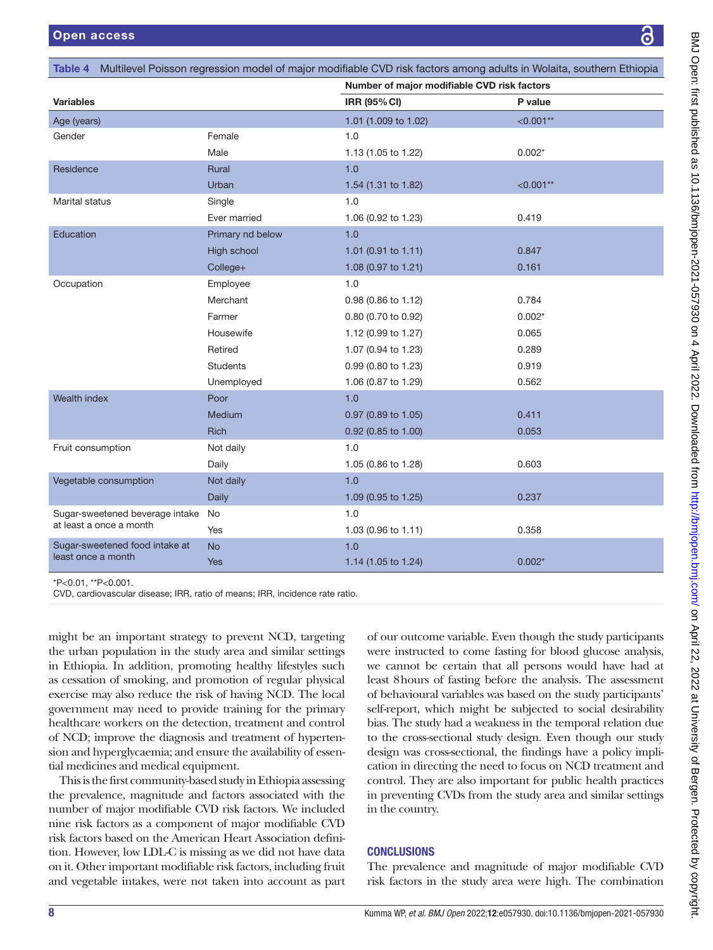| laita, southern Ethiop |  |
|------------------------|--|
| ì                      |  |
|                        |  |

|                                 |                  | Number of major modifiable CVD risk factors |             |
|---------------------------------|------------------|---------------------------------------------|-------------|
| <b>Variables</b>                |                  | IRR (95% CI)                                | P value     |
| Age (years)                     |                  | 1.01 (1.009 to 1.02)                        | $< 0.001**$ |
| Gender                          | Female           | 1.0                                         |             |
|                                 | Male             | 1.13 (1.05 to 1.22)                         | $0.002*$    |
| Residence                       | <b>Rural</b>     | 1.0                                         |             |
|                                 | Urban            | 1.54 (1.31 to 1.82)                         | $< 0.001**$ |
| Marital status                  | Single           | 1.0                                         |             |
|                                 | Ever married     | 1.06 (0.92 to 1.23)                         | 0.419       |
| Education                       | Primary nd below | 1.0                                         |             |
|                                 | High school      | 1.01 (0.91 to 1.11)                         | 0.847       |
|                                 | College+         | 1.08 (0.97 to 1.21)                         | 0.161       |
| Occupation                      | Employee         | 1.0                                         |             |
|                                 | Merchant         | 0.98 (0.86 to 1.12)                         | 0.784       |
|                                 | Farmer           | 0.80 (0.70 to 0.92)                         | $0.002*$    |
|                                 | Housewife        | 1.12 (0.99 to 1.27)                         | 0.065       |
|                                 | Retired          | 1.07 (0.94 to 1.23)                         | 0.289       |
|                                 | <b>Students</b>  | 0.99 (0.80 to 1.23)                         | 0.919       |
|                                 | Unemployed       | 1.06 (0.87 to 1.29)                         | 0.562       |
| Wealth index                    | Poor             | 1.0                                         |             |
|                                 | Medium           | 0.97 (0.89 to 1.05)                         | 0.411       |
|                                 | Rich             | 0.92 (0.85 to 1.00)                         | 0.053       |
| Fruit consumption               | Not daily        | 1.0                                         |             |
|                                 | Daily            | 1.05 (0.86 to 1.28)                         | 0.603       |
| Vegetable consumption           | Not daily        | 1.0                                         |             |
|                                 | Daily            | 1.09 (0.95 to 1.25)                         | 0.237       |
| Sugar-sweetened beverage intake | No               | 1.0                                         |             |
| at least a once a month         | Yes              | 1.03 (0.96 to 1.11)                         | 0.358       |
| Sugar-sweetened food intake at  | <b>No</b>        | 1.0                                         |             |
| least once a month              | <b>Yes</b>       | 1.14 (1.05 to 1.24)                         | $0.002*$    |

<span id="page-7-0"></span>Table 4 Multilevel Poisson regression model of major modifiable CVD risk factors among adults in Wo

\*P<0.01, \*\*P<0.001.

CVD, cardiovascular disease; IRR, ratio of means; IRR, incidence rate ratio.

might be an important strategy to prevent NCD, targeting the urban population in the study area and similar settings in Ethiopia. In addition, promoting healthy lifestyles such as cessation of smoking, and promotion of regular physical exercise may also reduce the risk of having NCD. The local government may need to provide training for the primary healthcare workers on the detection, treatment and control of NCD; improve the diagnosis and treatment of hypertension and hyperglycaemia; and ensure the availability of essential medicines and medical equipment.

This is the first community-based study in Ethiopia assessing the prevalence, magnitude and factors associated with the number of major modifiable CVD risk factors. We included nine risk factors as a component of major modifiable CVD risk factors based on the American Heart Association definition. However, low LDL-C is missing as we did not have data on it. Other important modifiable risk factors, including fruit and vegetable intakes, were not taken into account as part

of our outcome variable. Even though the study participants were instructed to come fasting for blood glucose analysis, we cannot be certain that all persons would have had at least 8hours of fasting before the analysis. The assessment of behavioural variables was based on the study participants' self-report, which might be subjected to social desirability bias. The study had a weakness in the temporal relation due to the cross-sectional study design. Even though our study design was cross-sectional, the findings have a policy implication in directing the need to focus on NCD treatment and control. They are also important for public health practices in preventing CVDs from the study area and similar settings in the country.

# **CONCLUSIONS**

The prevalence and magnitude of major modifiable CVD risk factors in the study area were high. The combination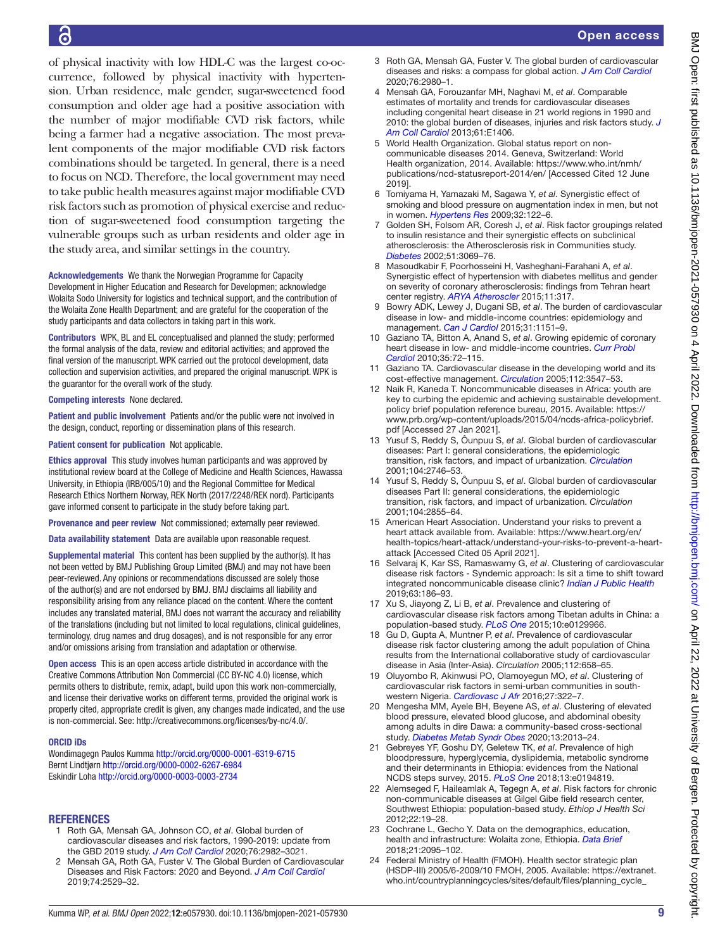of physical inactivity with low HDL-C was the largest co-occurrence, followed by physical inactivity with hypertension. Urban residence, male gender, sugar-sweetened food consumption and older age had a positive association with the number of major modifiable CVD risk factors, while being a farmer had a negative association. The most prevalent components of the major modifiable CVD risk factors combinations should be targeted. In general, there is a need to focus on NCD. Therefore, the local government may need to take public health measures against major modifiable CVD risk factors such as promotion of physical exercise and reduction of sugar-sweetened food consumption targeting the vulnerable groups such as urban residents and older age in the study area, and similar settings in the country.

Acknowledgements We thank the Norwegian Programme for Capacity Development in Higher Education and Research for Developmen; acknowledge Wolaita Sodo University for logistics and technical support, and the contribution of the Wolaita Zone Health Department; and are grateful for the cooperation of the study participants and data collectors in taking part in this work.

Contributors WPK, BL and EL conceptualised and planned the study; performed the formal analysis of the data, review and editorial activities; and approved the final version of the manuscript. WPK carried out the protocol development, data collection and supervision activities, and prepared the original manuscript. WPK is the guarantor for the overall work of the study.

Competing interests None declared.

Patient and public involvement Patients and/or the public were not involved in the design, conduct, reporting or dissemination plans of this research.

Patient consent for publication Not applicable.

Ethics approval This study involves human participants and was approved by institutional review board at the College of Medicine and Health Sciences, Hawassa University, in Ethiopia (IRB/005/10) and the Regional Committee for Medical Research Ethics Northern Norway, REK North (2017/2248/REK nord). Participants gave informed consent to participate in the study before taking part.

Provenance and peer review Not commissioned; externally peer reviewed.

Data availability statement Data are available upon reasonable request.

Supplemental material This content has been supplied by the author(s). It has not been vetted by BMJ Publishing Group Limited (BMJ) and may not have been peer-reviewed. Any opinions or recommendations discussed are solely those of the author(s) and are not endorsed by BMJ. BMJ disclaims all liability and responsibility arising from any reliance placed on the content. Where the content includes any translated material, BMJ does not warrant the accuracy and reliability of the translations (including but not limited to local regulations, clinical guidelines, terminology, drug names and drug dosages), and is not responsible for any error and/or omissions arising from translation and adaptation or otherwise.

Open access This is an open access article distributed in accordance with the Creative Commons Attribution Non Commercial (CC BY-NC 4.0) license, which permits others to distribute, remix, adapt, build upon this work non-commercially, and license their derivative works on different terms, provided the original work is properly cited, appropriate credit is given, any changes made indicated, and the use is non-commercial. See: [http://creativecommons.org/licenses/by-nc/4.0/.](http://creativecommons.org/licenses/by-nc/4.0/)

#### ORCID iDs

Wondimagegn Paulos Kumma <http://orcid.org/0000-0001-6319-6715> Bernt Lindtjørn<http://orcid.org/0000-0002-6267-6984> Eskindir Loha<http://orcid.org/0000-0003-0003-2734>

# **REFERENCES**

- <span id="page-8-0"></span>1 Roth GA, Mensah GA, Johnson CO, *et al*. Global burden of cardiovascular diseases and risk factors, 1990-2019: update from the GBD 2019 study. *[J Am Coll Cardiol](http://dx.doi.org/10.1016/j.jacc.2020.11.010)* 2020;76:2982–3021.
- <span id="page-8-3"></span>2 Mensah GA, Roth GA, Fuster V. The Global Burden of Cardiovascular Diseases and Risk Factors: 2020 and Beyond. *[J Am Coll Cardiol](http://dx.doi.org/10.1016/j.jacc.2019.10.009)* 2019;74:2529–32.
- <span id="page-8-1"></span>3 Roth GA, Mensah GA, Fuster V. The global burden of cardiovascular diseases and risks: a compass for global action. *[J Am Coll Cardiol](http://dx.doi.org/10.1016/j.jacc.2020.11.021)* 2020;76:2980–1.
- 4 Mensah GA, Forouzanfar MH, Naghavi M, *et al*. Comparable estimates of mortality and trends for cardiovascular diseases including congenital heart disease in 21 world regions in 1990 and 2010: the global burden of diseases, injuries and risk factors study. *[J](http://dx.doi.org/10.1016/S0735-1097(13)61406-0)  [Am Coll Cardiol](http://dx.doi.org/10.1016/S0735-1097(13)61406-0)* 2013;61:E1406.
- 5 World Health Organization. Global status report on noncommunicable diseases 2014. Geneva, Switzerland: World Health organization, 2014. Available: [https://www.who.int/nmh/](https://www.who.int/nmh/publications/ncd-statusreport-2014/en/) [publications/ncd-statusreport-2014/en/](https://www.who.int/nmh/publications/ncd-statusreport-2014/en/) [Accessed Cited 12 June 2019].
- <span id="page-8-2"></span>6 Tomiyama H, Yamazaki M, Sagawa Y, *et al*. Synergistic effect of smoking and blood pressure on augmentation index in men, but not in women. *[Hypertens Res](http://dx.doi.org/10.1038/hr.2008.20)* 2009;32:122–6.
- 7 Golden SH, Folsom AR, Coresh J, *et al*. Risk factor groupings related to insulin resistance and their synergistic effects on subclinical atherosclerosis: the Atherosclerosis risk in Communities study. *[Diabetes](http://dx.doi.org/10.2337/diabetes.51.10.3069)* 2002;51:3069–76.
- 8 Masoudkabir F, Poorhosseini H, Vasheghani-Farahani A, *et al*. Synergistic effect of hypertension with diabetes mellitus and gender on severity of coronary atherosclerosis: findings from Tehran heart center registry. *[ARYA Atheroscler](http://www.ncbi.nlm.nih.gov/pubmed/26862339)* 2015;11:317.
- 9 Bowry ADK, Lewey J, Dugani SB, *et al*. The burden of cardiovascular disease in low- and middle-income countries: epidemiology and management. *[Can J Cardiol](http://dx.doi.org/10.1016/j.cjca.2015.06.028)* 2015;31:1151–9.
- 10 Gaziano TA, Bitton A, Anand S, *et al*. Growing epidemic of coronary heart disease in low- and middle-income countries. *[Curr Probl](http://dx.doi.org/10.1016/j.cpcardiol.2009.10.002)  [Cardiol](http://dx.doi.org/10.1016/j.cpcardiol.2009.10.002)* 2010;35:72–115.
- 11 Gaziano TA. Cardiovascular disease in the developing world and its cost-effective management. *[Circulation](http://dx.doi.org/10.1161/CIRCULATIONAHA.105.591792)* 2005;112:3547–53.
- <span id="page-8-4"></span>12 Naik R, Kaneda T. Noncommunicable diseases in Africa: youth are key to curbing the epidemic and achieving sustainable development. policy brief population reference bureau, 2015. Available: [https://](https://www.prb.org/wp-content/uploads/2015/04/ncds-africa-policybrief.pdf) [www.prb.org/wp-content/uploads/2015/04/ncds-africa-policybrief.](https://www.prb.org/wp-content/uploads/2015/04/ncds-africa-policybrief.pdf) [pdf](https://www.prb.org/wp-content/uploads/2015/04/ncds-africa-policybrief.pdf) [Accessed 27 Jan 2021].
- 13 Yusuf S, Reddy S, Ôunpuu S, *et al*. Global burden of cardiovascular diseases: Part I: general considerations, the epidemiologic transition, risk factors, and impact of urbanization. *[Circulation](http://dx.doi.org/10.1161/hc4601.099487)* 2001;104:2746–53.
- 14 Yusuf S, Reddy S, Ôunpuu S, *et al*. Global burden of cardiovascular diseases Part II: general considerations, the epidemiologic transition, risk factors, and impact of urbanization. *Circulation* 2001;104:2855–64.
- <span id="page-8-5"></span>15 American Heart Association. Understand your risks to prevent a heart attack available from. Available: [https://www.heart.org/en/](https://www.heart.org/en/health-topics/heart-attack/understand-your-risks-to-prevent-a-heart-attack) [health-topics/heart-attack/understand-your-risks-to-prevent-a-heart](https://www.heart.org/en/health-topics/heart-attack/understand-your-risks-to-prevent-a-heart-attack)[attack](https://www.heart.org/en/health-topics/heart-attack/understand-your-risks-to-prevent-a-heart-attack) [Accessed Cited 05 April 2021].
- <span id="page-8-6"></span>16 Selvaraj K, Kar SS, Ramaswamy G, *et al*. Clustering of cardiovascular disease risk factors - Syndemic approach: Is sit a time to shift toward integrated noncommunicable disease clinic? *[Indian J Public Health](http://dx.doi.org/10.4103/ijph.IJPH_158_18)* 2019;63:186–93.
- <span id="page-8-12"></span>17 Xu S, Jiayong Z, Li B, *et al*. Prevalence and clustering of cardiovascular disease risk factors among Tibetan adults in China: a population-based study. *[PLoS One](http://dx.doi.org/10.1371/journal.pone.0129966)* 2015;10:e0129966.
- <span id="page-8-13"></span>18 Gu D, Gupta A, Muntner P, *et al*. Prevalence of cardiovascular disease risk factor clustering among the adult population of China results from the International collaborative study of cardiovascular disease in Asia (Inter-Asia). *Circulation* 2005;112:658–65.
- <span id="page-8-7"></span>19 Oluyombo R, Akinwusi PO, Olamoyegun MO, *et al*. Clustering of cardiovascular risk factors in semi-urban communities in southwestern Nigeria. *[Cardiovasc J Afr](http://dx.doi.org/10.5830/CVJA-2016-024)* 2016;27:322–7.
- <span id="page-8-8"></span>20 Mengesha MM, Ayele BH, Beyene AS, *et al*. Clustering of elevated blood pressure, elevated blood glucose, and abdominal obesity among adults in dire Dawa: a community-based cross-sectional study. *[Diabetes Metab Syndr Obes](http://dx.doi.org/10.2147/DMSO.S250594)* 2020;13:2013–24.
- <span id="page-8-9"></span>21 Gebreyes YF, Goshu DY, Geletew TK, *et al*. Prevalence of high bloodpressure, hyperglycemia, dyslipidemia, metabolic syndrome and their determinants in Ethiopia: evidences from the National NCDS steps survey, 2015. *[PLoS One](http://dx.doi.org/10.1371/journal.pone.0194819)* 2018;13:e0194819.
- 22 Alemseged F, Haileamlak A, Tegegn A, *et al*. Risk factors for chronic non-communicable diseases at Gilgel Gibe field research center, Southwest Ethiopia: population-based study. *Ethiop J Health Sci* 2012;22:19–28.
- <span id="page-8-10"></span>Cochrane L, Gecho Y. Data on the demographics, education, health and infrastructure: Wolaita zone, Ethiopia. *[Data Brief](http://dx.doi.org/10.1016/j.dib.2018.11.063)* 2018;21:2095–102.
- <span id="page-8-11"></span>24 Federal Ministry of Health (FMOH). Health sector strategic plan (HSDP-III) 2005/6-2009/10 FMOH, 2005. Available: [https://extranet.](https://extranet.who.int/countryplanningcycles/sites/default/files/planning_cycle_repository/ethiopia/ethiopia-health-sector-development-planhsdp-iii.pdf) [who.int/countryplanningcycles/sites/default/files/planning\\_cycle\\_](https://extranet.who.int/countryplanningcycles/sites/default/files/planning_cycle_repository/ethiopia/ethiopia-health-sector-development-planhsdp-iii.pdf)